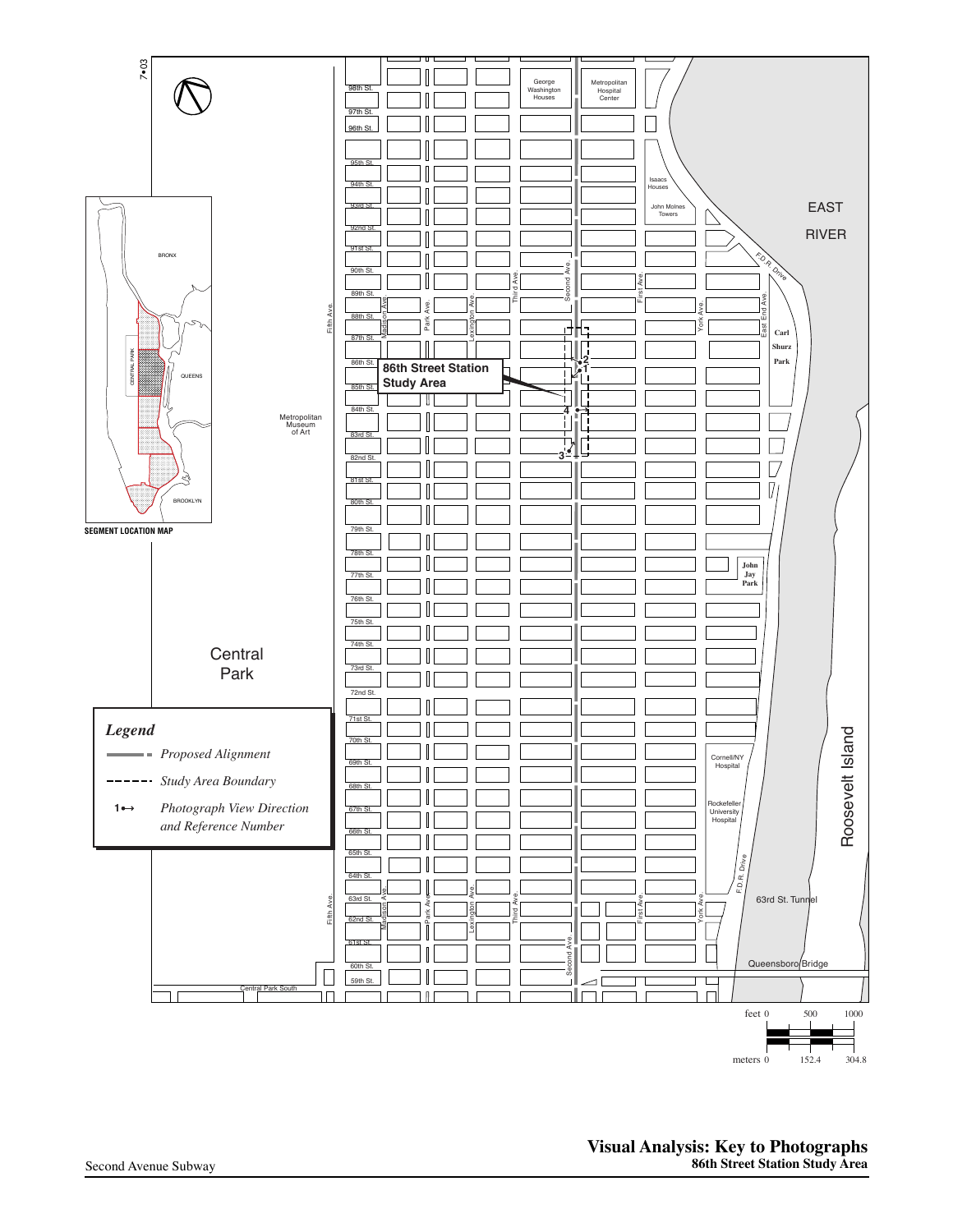